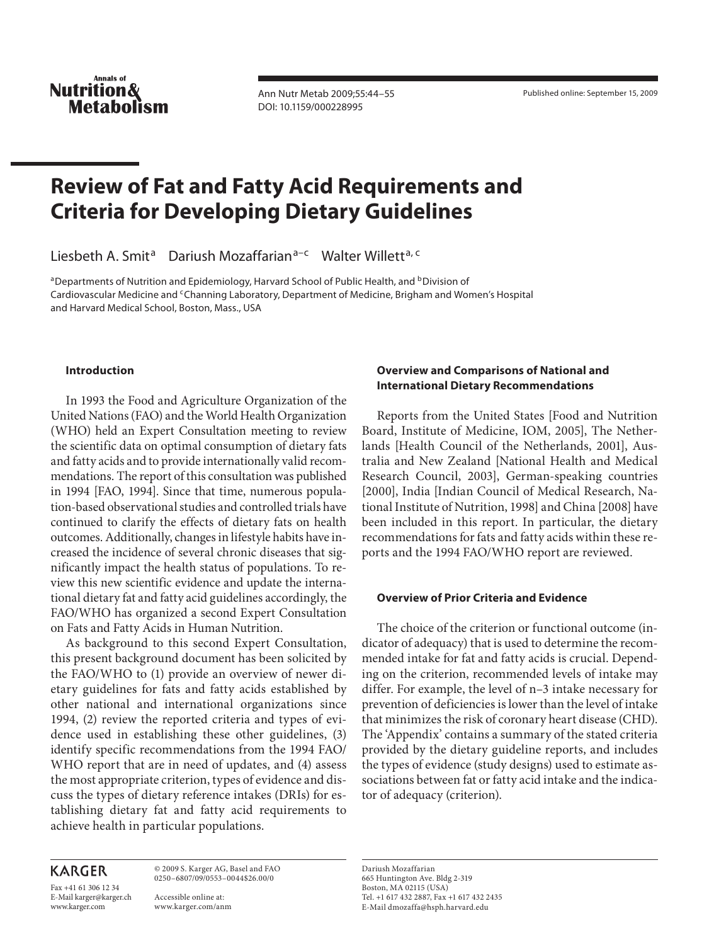

 Ann Nutr Metab 2009;55:44–55 DOI: 10.1159/000228995

Published online: September 15, 2009

# **Review of Fat and Fatty Acid Requirements and Criteria for Developing Dietary Guidelines**

Liesbeth A. Smit<sup>a</sup> Dariush Mozaffarian<sup>a–c</sup> Walter Willett<sup>a, c</sup>

<sup>a</sup> Departments of Nutrition and Epidemiology, Harvard School of Public Health, and <sup>b</sup> Division of Cardiovascular Medicine and <sup>c</sup>Channing Laboratory, Department of Medicine, Brigham and Women's Hospital and Harvard Medical School, Boston, Mass., USA

#### **Introduction**

In 1993 the Food and Agriculture Organization of the United Nations (FAO) and the World Health Organization (WHO) held an Expert Consultation meeting to review the scientific data on optimal consumption of dietary fats and fatty acids and to provide internationally valid recommendations. The report of this consultation was published in 1994 [FAO, 1994]. Since that time, numerous population-based observational studies and controlled trials have continued to clarify the effects of dietary fats on health outcomes. Additionally, changes in lifestyle habits have increased the incidence of several chronic diseases that significantly impact the health status of populations. To review this new scientific evidence and update the international dietary fat and fatty acid guidelines accordingly, the FAO/WHO has organized a second Expert Consultation on Fats and Fatty Acids in Human Nutrition.

As background to this second Expert Consultation, this present background document has been solicited by the FAO/WHO to (1) provide an overview of newer dietary guidelines for fats and fatty acids established by other national and international organizations since 1994, (2) review the reported criteria and types of evidence used in establishing these other guidelines, (3) identify specific recommendations from the 1994 FAO/ WHO report that are in need of updates, and (4) assess the most appropriate criterion, types of evidence and discuss the types of dietary reference intakes (DRIs) for establishing dietary fat and fatty acid requirements to achieve health in particular populations.

#### **Overview and Comparisons of National and International Dietary Recommendations**

 Reports from the United States [Food and Nutrition Board, Institute of Medicine, IOM, 2005], The Netherlands [Health Council of the Netherlands, 2001], Australia and New Zealand [National Health and Medical Research Council, 2003], German-speaking countries [2000], India [Indian Council of Medical Research, National Institute of Nutrition, 1998] and China [2008] have been included in this report. In particular, the dietary recommendations for fats and fatty acids within these reports and the 1994 FAO/WHO report are reviewed.

#### **Overview of Prior Criteria and Evidence**

 The choice of the criterion or functional outcome (indicator of adequacy) that is used to determine the recommended intake for fat and fatty acids is crucial. Depending on the criterion, recommended levels of intake may differ. For example, the level of n–3 intake necessary for prevention of deficiencies is lower than the level of intake that minimizes the risk of coronary heart disease (CHD). The 'Appendix' contains a summary of the stated criteria provided by the dietary guideline reports, and includes the types of evidence (study designs) used to estimate associations between fat or fatty acid intake and the indicator of adequacy (criterion).

 Dariush Mozaffarian 665 Huntington Ave. Bldg 2-319 Boston, MA 02115 (USA) Tel. +1 617 432 2887, Fax +1 617 432 2435 E-Mail dmozaffa@hsph.harvard.edu

# **KARGER**

Fax +41 61 306 12 34 E-Mail karger@karger.ch www.karger.com

 Accessible online at: www.karger.com/anm

 © 2009 S. Karger AG, Basel and FAO 0250–6807/09/0553–0044\$26.00/0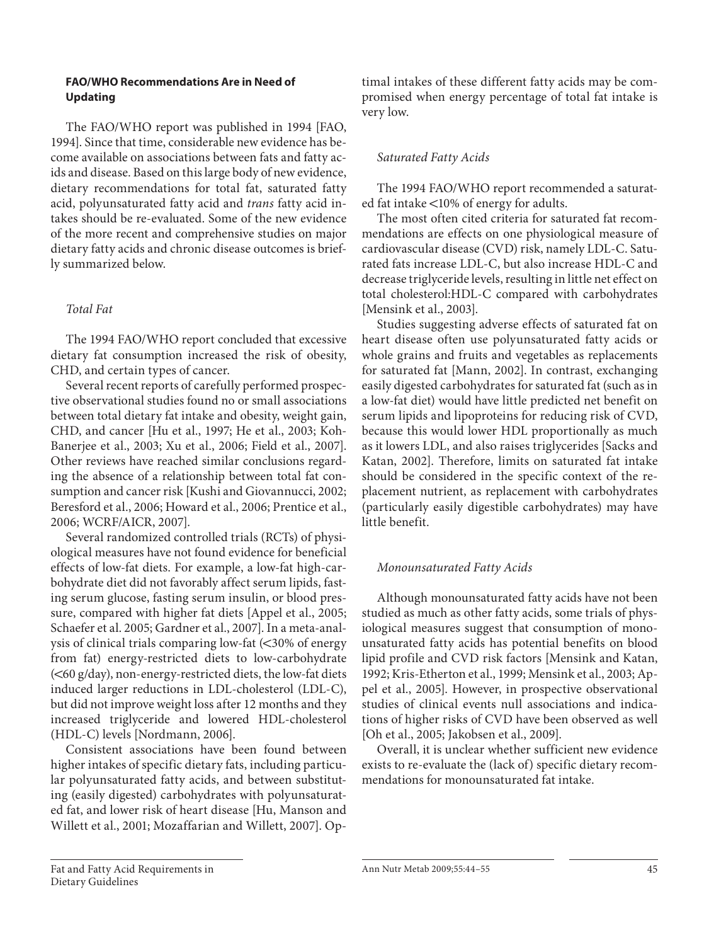#### **FAO/WHO Recommendations Are in Need of Updating**

 The FAO/WHO report was published in 1994 [FAO, 1994]. Since that time, considerable new evidence has become available on associations between fats and fatty acids and disease. Based on this large body of new evidence, dietary recommendations for total fat, saturated fatty acid, polyunsaturated fatty acid and *trans* fatty acid intakes should be re-evaluated. Some of the new evidence of the more recent and comprehensive studies on major dietary fatty acids and chronic disease outcomes is briefly summarized below.

### *Total Fat*

 The 1994 FAO/WHO report concluded that excessive dietary fat consumption increased the risk of obesity, CHD, and certain types of cancer.

 Several recent reports of carefully performed prospective observational studies found no or small associations between total dietary fat intake and obesity, weight gain, CHD, and cancer [Hu et al., 1997; He et al., 2003; Koh-Banerjee et al., 2003; Xu et al., 2006; Field et al., 2007]. Other reviews have reached similar conclusions regarding the absence of a relationship between total fat consumption and cancer risk [Kushi and Giovannucci, 2002; Beresford et al., 2006; Howard et al., 2006; Prentice et al., 2006; WCRF/AICR, 2007].

 Several randomized controlled trials (RCTs) of physiological measures have not found evidence for beneficial effects of low-fat diets. For example, a low-fat high-carbohydrate diet did not favorably affect serum lipids, fasting serum glucose, fasting serum insulin, or blood pressure, compared with higher fat diets [Appel et al., 2005; Schaefer et al. 2005; Gardner et al., 2007]. In a meta-analysis of clinical trials comparing low-fat  $\ll$  30% of energy from fat) energy-restricted diets to low-carbohydrate  $(<$ 60 g/day), non-energy-restricted diets, the low-fat diets induced larger reductions in LDL-cholesterol (LDL-C), but did not improve weight loss after 12 months and they increased triglyceride and lowered HDL-cholesterol (HDL-C) levels [Nordmann, 2006].

 Consistent associations have been found between higher intakes of specific dietary fats, including particular polyunsaturated fatty acids, and between substituting (easily digested) carbohydrates with polyunsaturated fat, and lower risk of heart disease [Hu, Manson and Willett et al., 2001; Mozaffarian and Willett, 2007]. Optimal intakes of these different fatty acids may be compromised when energy percentage of total fat intake is very low.

#### *Saturated Fatty Acids*

 The 1994 FAO/WHO report recommended a saturated fat intake  $<$ 10% of energy for adults.

 The most often cited criteria for saturated fat recommendations are effects on one physiological measure of cardiovascular disease (CVD) risk, namely LDL-C. Saturated fats increase LDL-C, but also increase HDL-C and decrease triglyceride levels, resulting in little net effect on total cholesterol:HDL-C compared with carbohydrates [Mensink et al., 2003].

 Studies suggesting adverse effects of saturated fat on heart disease often use polyunsaturated fatty acids or whole grains and fruits and vegetables as replacements for saturated fat [Mann, 2002]. In contrast, exchanging easily digested carbohydrates for saturated fat (such as in a low-fat diet) would have little predicted net benefit on serum lipids and lipoproteins for reducing risk of CVD, because this would lower HDL proportionally as much as it lowers LDL, and also raises triglycerides [Sacks and Katan, 2002]. Therefore, limits on saturated fat intake should be considered in the specific context of the replacement nutrient, as replacement with carbohydrates (particularly easily digestible carbohydrates) may have little benefit.

#### *Monounsaturated Fatty Acids*

 Although monounsaturated fatty acids have not been studied as much as other fatty acids, some trials of physiological measures suggest that consumption of monounsaturated fatty acids has potential benefits on blood lipid profile and CVD risk factors [Mensink and Katan, 1992; Kris-Etherton et al., 1999; Mensink et al., 2003; Appel et al., 2005]. However, in prospective observational studies of clinical events null associations and indications of higher risks of CVD have been observed as well [Oh et al., 2005; Jakobsen et al., 2009].

 Overall, it is unclear whether sufficient new evidence exists to re-evaluate the (lack of) specific dietary recommendations for monounsaturated fat intake.

 Fat and Fatty Acid Requirements in Dietary Guidelines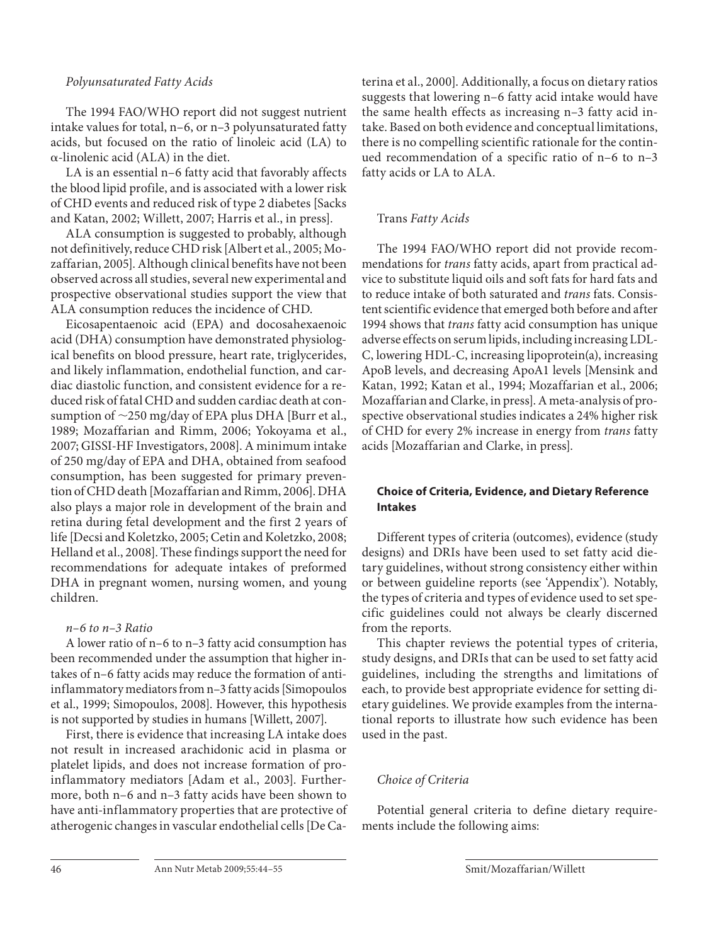#### *Polyunsaturated Fatty Acids*

 The 1994 FAO/WHO report did not suggest nutrient intake values for total, n–6, or n–3 polyunsaturated fatty acids, but focused on the ratio of linoleic acid (LA) to  $\alpha$ -linolenic acid (ALA) in the diet.

 LA is an essential n–6 fatty acid that favorably affects the blood lipid profile, and is associated with a lower risk of CHD events and reduced risk of type 2 diabetes [Sacks and Katan, 2002; Willett, 2007; Harris et al., in press].

 ALA consumption is suggested to probably, although not definitively, reduce CHD risk [Albert et al., 2005; Mozaffarian, 2005]. Although clinical benefits have not been observed across all studies, several new experimental and prospective observational studies support the view that ALA consumption reduces the incidence of CHD.

 Eicosapentaenoic acid (EPA) and docosahexaenoic acid (DHA) consumption have demonstrated physiological benefits on blood pressure, heart rate, triglycerides, and likely inflammation, endothelial function, and cardiac diastolic function, and consistent evidence for a reduced risk of fatal CHD and sudden cardiac death at consumption of  $\sim$ 250 mg/day of EPA plus DHA [Burr et al., 1989; Mozaffarian and Rimm, 2006; Yokoyama et al., 2007; GISSI-HF Investigators, 2008]. A minimum intake of 250 mg/day of EPA and DHA, obtained from seafood consumption, has been suggested for primary prevention of CHD death [Mozaffarian and Rimm, 2006]. DHA also plays a major role in development of the brain and retina during fetal development and the first 2 years of life [Decsi and Koletzko, 2005; Cetin and Koletzko, 2008; Helland et al., 2008]. These findings support the need for recommendations for adequate intakes of preformed DHA in pregnant women, nursing women, and young children.

#### *n–6 to n–3 Ratio*

 A lower ratio of n–6 to n–3 fatty acid consumption has been recommended under the assumption that higher intakes of n–6 fatty acids may reduce the formation of antiinflammatory mediators from n–3 fatty acids [Simopoulos et al., 1999; Simopoulos, 2008]. However, this hypothesis is not supported by studies in humans [Willett, 2007].

 First, there is evidence that increasing LA intake does not result in increased arachidonic acid in plasma or platelet lipids, and does not increase formation of proinflammatory mediators [Adam et al., 2003]. Furthermore, both n–6 and n–3 fatty acids have been shown to have anti-inflammatory properties that are protective of atherogenic changes in vascular endothelial cells [De Caterina et al., 2000]. Additionally, a focus on dietary ratios suggests that lowering n–6 fatty acid intake would have the same health effects as increasing n–3 fatty acid intake. Based on both evidence and conceptual limitations, there is no compelling scientific rationale for the continued recommendation of a specific ratio of n–6 to n–3 fatty acids or LA to ALA.

# Trans *Fatty Acids*

 The 1994 FAO/WHO report did not provide recommendations for *trans* fatty acids, apart from practical advice to substitute liquid oils and soft fats for hard fats and to reduce intake of both saturated and *trans* fats. Consistent scientific evidence that emerged both before and after 1994 shows that *trans* fatty acid consumption has unique adverse effects on serum lipids, including increasing LDL-C, lowering HDL-C, increasing lipoprotein(a), increasing ApoB levels, and decreasing ApoA1 levels [Mensink and Katan, 1992; Katan et al., 1994; Mozaffarian et al., 2006; Mozaffarian and Clarke, in press]. A meta-analysis of prospective observational studies indicates a 24% higher risk of CHD for every 2% increase in energy from *trans* fatty acids [Mozaffarian and Clarke, in press].

### **Choice of Criteria, Evidence, and Dietary Reference Intakes**

 Different types of criteria (outcomes), evidence (study designs) and DRIs have been used to set fatty acid dietary guidelines, without strong consistency either within or between guideline reports (see 'Appendix'). Notably, the types of criteria and types of evidence used to set specific guidelines could not always be clearly discerned from the reports.

 This chapter reviews the potential types of criteria, study designs, and DRIs that can be used to set fatty acid guidelines, including the strengths and limitations of each, to provide best appropriate evidence for setting dietary guidelines. We provide examples from the international reports to illustrate how such evidence has been used in the past.

# *Choice of Criteria*

 Potential general criteria to define dietary requirements include the following aims: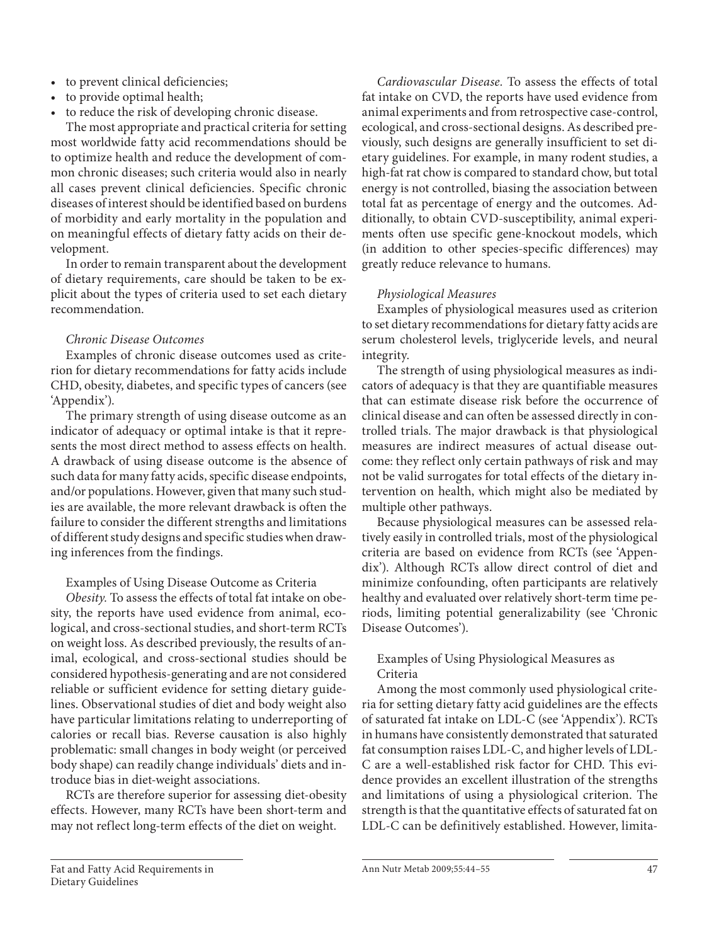- to prevent clinical deficiencies;
- to provide optimal health;
- to reduce the risk of developing chronic disease.

 The most appropriate and practical criteria for setting most worldwide fatty acid recommendations should be to optimize health and reduce the development of common chronic diseases; such criteria would also in nearly all cases prevent clinical deficiencies. Specific chronic diseases of interest should be identified based on burdens of morbidity and early mortality in the population and on meaningful effects of dietary fatty acids on their development.

 In order to remain transparent about the development of dietary requirements, care should be taken to be explicit about the types of criteria used to set each dietary recommendation.

# *Chronic Disease Outcomes*

 Examples of chronic disease outcomes used as criterion for dietary recommendations for fatty acids include CHD, obesity, diabetes, and specific types of cancers (see 'Appendix').

 The primary strength of using disease outcome as an indicator of adequacy or optimal intake is that it represents the most direct method to assess effects on health. A drawback of using disease outcome is the absence of such data for many fatty acids, specific disease endpoints, and/or populations. However, given that many such studies are available, the more relevant drawback is often the failure to consider the different strengths and limitations of different study designs and specific studies when drawing inferences from the findings.

# Examples of Using Disease Outcome as Criteria

*Obesity.* To assess the effects of total fat intake on obesity, the reports have used evidence from animal, ecological, and cross-sectional studies, and short-term RCTs on weight loss. As described previously, the results of animal, ecological, and cross-sectional studies should be considered hypothesis-generating and are not considered reliable or sufficient evidence for setting dietary guidelines. Observational studies of diet and body weight also have particular limitations relating to underreporting of calories or recall bias. Reverse causation is also highly problematic: small changes in body weight (or perceived body shape) can readily change individuals' diets and introduce bias in diet-weight associations.

 RCTs are therefore superior for assessing diet-obesity effects. However, many RCTs have been short-term and may not reflect long-term effects of the diet on weight.

*Cardiovascular Disease.* To assess the effects of total fat intake on CVD, the reports have used evidence from animal experiments and from retrospective case-control, ecological, and cross-sectional designs. As described previously, such designs are generally insufficient to set dietary guidelines. For example, in many rodent studies, a high-fat rat chow is compared to standard chow, but total energy is not controlled, biasing the association between total fat as percentage of energy and the outcomes. Additionally, to obtain CVD-susceptibility, animal experiments often use specific gene-knockout models, which (in addition to other species-specific differences) may greatly reduce relevance to humans.

# *Physiological Measures*

 Examples of physiological measures used as criterion to set dietary recommendations for dietary fatty acids are serum cholesterol levels, triglyceride levels, and neural integrity.

 The strength of using physiological measures as indicators of adequacy is that they are quantifiable measures that can estimate disease risk before the occurrence of clinical disease and can often be assessed directly in controlled trials. The major drawback is that physiological measures are indirect measures of actual disease outcome: they reflect only certain pathways of risk and may not be valid surrogates for total effects of the dietary intervention on health, which might also be mediated by multiple other pathways.

 Because physiological measures can be assessed relatively easily in controlled trials, most of the physiological criteria are based on evidence from RCTs (see 'Appendix'). Although RCTs allow direct control of diet and minimize confounding, often participants are relatively healthy and evaluated over relatively short-term time periods, limiting potential generalizability (see 'Chronic Disease Outcomes').

# Examples of Using Physiological Measures as Criteria

 Among the most commonly used physiological criteria for setting dietary fatty acid guidelines are the effects of saturated fat intake on LDL-C (see 'Appendix'). RCTs in humans have consistently demonstrated that saturated fat consumption raises LDL-C, and higher levels of LDL-C are a well-established risk factor for CHD. This evidence provides an excellent illustration of the strengths and limitations of using a physiological criterion. The strength is that the quantitative effects of saturated fat on LDL-C can be definitively established. However, limita-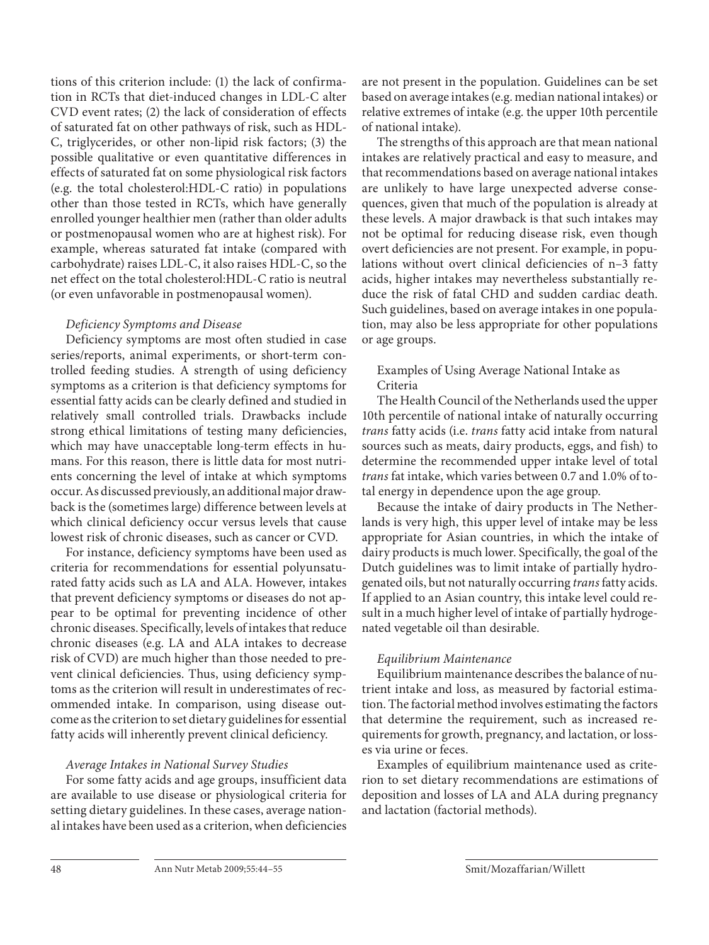tions of this criterion include: (1) the lack of confirmation in RCTs that diet-induced changes in LDL-C alter CVD event rates; (2) the lack of consideration of effects of saturated fat on other pathways of risk, such as HDL-C, triglycerides, or other non-lipid risk factors; (3) the possible qualitative or even quantitative differences in effects of saturated fat on some physiological risk factors (e.g. the total cholesterol:HDL-C ratio) in populations other than those tested in RCTs, which have generally enrolled younger healthier men (rather than older adults or postmenopausal women who are at highest risk). For example, whereas saturated fat intake (compared with carbohydrate) raises LDL-C, it also raises HDL-C, so the net effect on the total cholesterol:HDL-C ratio is neutral (or even unfavorable in postmenopausal women).

# *Deficiency Symptoms and Disease*

 Deficiency symptoms are most often studied in case series/reports, animal experiments, or short-term controlled feeding studies. A strength of using deficiency symptoms as a criterion is that deficiency symptoms for essential fatty acids can be clearly defined and studied in relatively small controlled trials. Drawbacks include strong ethical limitations of testing many deficiencies, which may have unacceptable long-term effects in humans. For this reason, there is little data for most nutrients concerning the level of intake at which symptoms occur. As discussed previously, an additional major drawback is the (sometimes large) difference between levels at which clinical deficiency occur versus levels that cause lowest risk of chronic diseases, such as cancer or CVD.

 For instance, deficiency symptoms have been used as criteria for recommendations for essential polyunsaturated fatty acids such as LA and ALA. However, intakes that prevent deficiency symptoms or diseases do not appear to be optimal for preventing incidence of other chronic diseases. Specifically, levels of intakes that reduce chronic diseases (e.g. LA and ALA intakes to decrease risk of CVD) are much higher than those needed to prevent clinical deficiencies. Thus, using deficiency symptoms as the criterion will result in underestimates of recommended intake. In comparison, using disease outcome as the criterion to set dietary guidelines for essential fatty acids will inherently prevent clinical deficiency.

### *Average Intakes in National Survey Studies*

 For some fatty acids and age groups, insufficient data are available to use disease or physiological criteria for setting dietary guidelines. In these cases, average national intakes have been used as a criterion, when deficiencies

are not present in the population. Guidelines can be set based on average intakes (e.g. median national intakes) or relative extremes of intake (e.g. the upper 10th percentile of national intake).

 The strengths of this approach are that mean national intakes are relatively practical and easy to measure, and that recommendations based on average national intakes are unlikely to have large unexpected adverse consequences, given that much of the population is already at these levels. A major drawback is that such intakes may not be optimal for reducing disease risk, even though overt deficiencies are not present. For example, in populations without overt clinical deficiencies of n–3 fatty acids, higher intakes may nevertheless substantially reduce the risk of fatal CHD and sudden cardiac death. Such guidelines, based on average intakes in one population, may also be less appropriate for other populations or age groups.

# Examples of Using Average National Intake as Criteria

 The Health Council of the Netherlands used the upper 10th percentile of national intake of naturally occurring *trans* fatty acids (i.e. *trans* fatty acid intake from natural sources such as meats, dairy products, eggs, and fish) to determine the recommended upper intake level of total *trans* fat intake, which varies between 0.7 and 1.0% of total energy in dependence upon the age group.

 Because the intake of dairy products in The Netherlands is very high, this upper level of intake may be less appropriate for Asian countries, in which the intake of dairy products is much lower. Specifically, the goal of the Dutch guidelines was to limit intake of partially hydrogenated oils, but not naturally occurring *trans* fatty acids. If applied to an Asian country, this intake level could result in a much higher level of intake of partially hydrogenated vegetable oil than desirable.

# *Equilibrium Maintenance*

 Equilibrium maintenance describes the balance of nutrient intake and loss, as measured by factorial estimation. The factorial method involves estimating the factors that determine the requirement, such as increased requirements for growth, pregnancy, and lactation, or losses via urine or feces.

 Examples of equilibrium maintenance used as criterion to set dietary recommendations are estimations of deposition and losses of LA and ALA during pregnancy and lactation (factorial methods).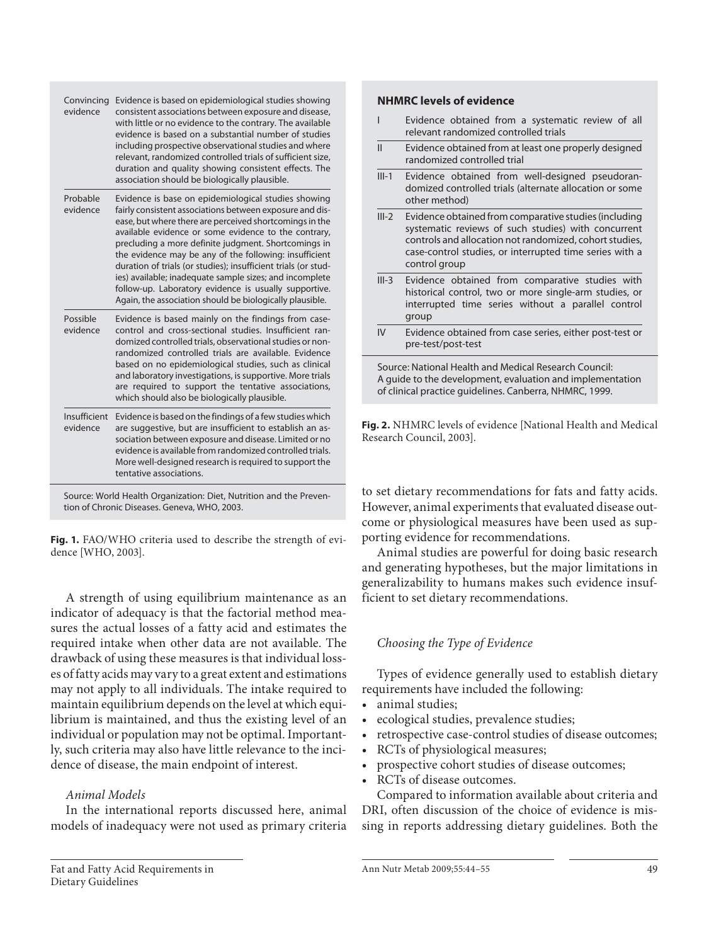|  | Convincing<br>evidence                                                                                             | Evidence is based on epidemiological studies showing<br>consistent associations between exposure and disease,<br>with little or no evidence to the contrary. The available<br>evidence is based on a substantial number of studies<br>including prospective observational studies and where<br>relevant, randomized controlled trials of sufficient size,<br>duration and quality showing consistent effects. The<br>association should be biologically plausible.                                                                                                                                     |  |
|--|--------------------------------------------------------------------------------------------------------------------|--------------------------------------------------------------------------------------------------------------------------------------------------------------------------------------------------------------------------------------------------------------------------------------------------------------------------------------------------------------------------------------------------------------------------------------------------------------------------------------------------------------------------------------------------------------------------------------------------------|--|
|  | Probable<br>evidence                                                                                               | Evidence is base on epidemiological studies showing<br>fairly consistent associations between exposure and dis-<br>ease, but where there are perceived shortcomings in the<br>available evidence or some evidence to the contrary,<br>precluding a more definite judgment. Shortcomings in<br>the evidence may be any of the following: insufficient<br>duration of trials (or studies); insufficient trials (or stud-<br>ies) available; inadequate sample sizes; and incomplete<br>follow-up. Laboratory evidence is usually supportive.<br>Again, the association should be biologically plausible. |  |
|  | Possible<br>evidence                                                                                               | Evidence is based mainly on the findings from case-<br>control and cross-sectional studies. Insufficient ran-<br>domized controlled trials, observational studies or non-<br>randomized controlled trials are available. Evidence<br>based on no epidemiological studies, such as clinical<br>and laboratory investigations, is supportive. More trials<br>are required to support the tentative associations,<br>which should also be biologically plausible.                                                                                                                                         |  |
|  | Insufficient<br>evidence                                                                                           | Evidence is based on the findings of a few studies which<br>are suggestive, but are insufficient to establish an as-<br>sociation between exposure and disease. Limited or no<br>evidence is available from randomized controlled trials.<br>More well-designed research is required to support the<br>tentative associations.                                                                                                                                                                                                                                                                         |  |
|  | Source: World Health Organization: Diet, Nutrition and the Preven-<br>tion of Chronic Diseases. Geneva, WHO, 2003. |                                                                                                                                                                                                                                                                                                                                                                                                                                                                                                                                                                                                        |  |

**Fig. 1.** FAO/WHO criteria used to describe the strength of evidence [WHO, 2003].

 A strength of using equilibrium maintenance as an indicator of adequacy is that the factorial method measures the actual losses of a fatty acid and estimates the required intake when other data are not available. The drawback of using these measures is that individual losses of fatty acids may vary to a great extent and estimations may not apply to all individuals. The intake required to maintain equilibrium depends on the level at which equilibrium is maintained, and thus the existing level of an individual or population may not be optimal. Importantly, such criteria may also have little relevance to the incidence of disease, the main endpoint of interest.

### *Animal Models*

 In the international reports discussed here, animal models of inadequacy were not used as primary criteria

#### **NHMRC levels of evidence**

- Evidence obtained from a systematic review of all relevant randomized controlled trials
- II Evidence obtained from at least one properly designed randomized controlled trial
- III-1 Evidence obtained from well-designed pseudorandomized controlled trials (alternate allocation or some other method)
- III-2 Evidence obtained from comparative studies (including systematic reviews of such studies) with concurrent controls and allocation not randomized, cohort studies, case-control studies, or interrupted time series with a control group
- III-3 Evidence obtained from comparative studies with historical control, two or more single-arm studies, or interrupted time series without a parallel control group
- IV Evidence obtained from case series, either post-test or pre-test/post-test

Source: National Health and Medical Research Council: A guide to the development, evaluation and implementation of clinical practice guidelines. Canberra, NHMRC, 1999.

**Fig. 2.** NHMRC levels of evidence [National Health and Medical Research Council, 2003].

to set dietary recommendations for fats and fatty acids. However, animal experiments that evaluated disease outcome or physiological measures have been used as supporting evidence for recommendations.

 Animal studies are powerful for doing basic research and generating hypotheses, but the major limitations in generalizability to humans makes such evidence insufficient to set dietary recommendations.

# *Choosing the Type of Evidence*

 Types of evidence generally used to establish dietary requirements have included the following:

- animal studies;
- ecological studies, prevalence studies;
- retrospective case-control studies of disease outcomes;
- RCTs of physiological measures;
- prospective cohort studies of disease outcomes;
- RCTs of disease outcomes.

 Compared to information available about criteria and DRI, often discussion of the choice of evidence is missing in reports addressing dietary guidelines. Both the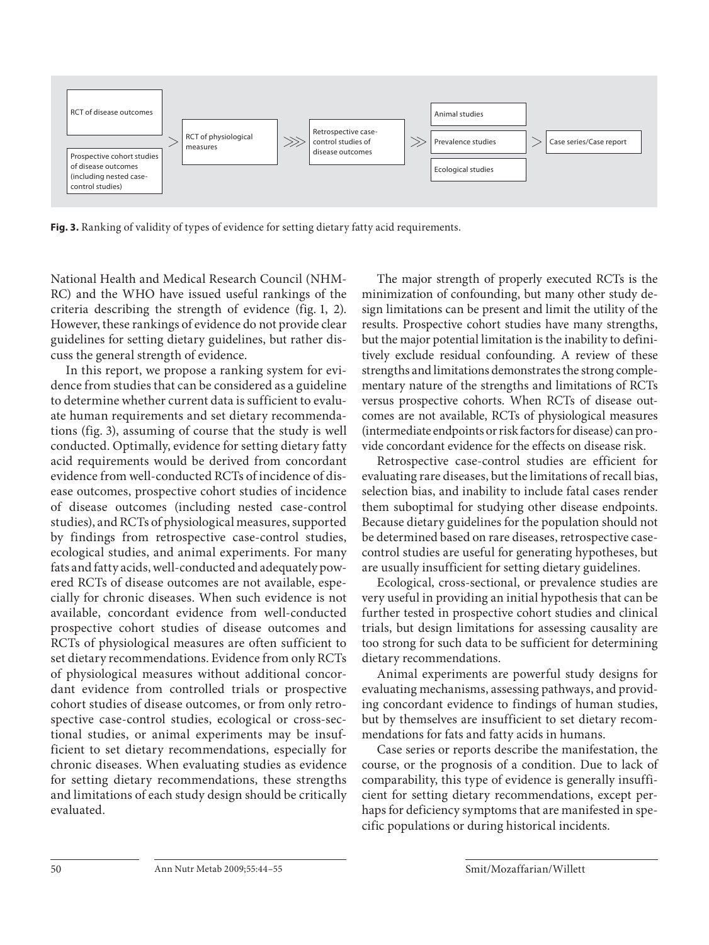

**Fig. 3.** Ranking of validity of types of evidence for setting dietary fatty acid requirements.

National Health and Medical Research Council (NHM-RC) and the WHO have issued useful rankings of the criteria describing the strength of evidence ( $fig. 1, 2$ ). However, these rankings of evidence do not provide clear guidelines for setting dietary guidelines, but rather discuss the general strength of evidence.

 In this report, we propose a ranking system for evidence from studies that can be considered as a guideline to determine whether current data is sufficient to evaluate human requirements and set dietary recommendations (fig. 3), assuming of course that the study is well conducted. Optimally, evidence for setting dietary fatty acid requirements would be derived from concordant evidence from well-conducted RCTs of incidence of disease outcomes, prospective cohort studies of incidence of disease outcomes (including nested case-control studies), and RCTs of physiological measures, supported by findings from retrospective case-control studies, ecological studies, and animal experiments. For many fats and fatty acids, well-conducted and adequately powered RCTs of disease outcomes are not available, especially for chronic diseases. When such evidence is not available, concordant evidence from well-conducted prospective cohort studies of disease outcomes and RCTs of physiological measures are often sufficient to set dietary recommendations. Evidence from only RCTs of physiological measures without additional concordant evidence from controlled trials or prospective cohort studies of disease outcomes, or from only retrospective case-control studies, ecological or cross-sectional studies, or animal experiments may be insufficient to set dietary recommendations, especially for chronic diseases. When evaluating studies as evidence for setting dietary recommendations, these strengths and limitations of each study design should be critically evaluated.

 The major strength of properly executed RCTs is the minimization of confounding, but many other study design limitations can be present and limit the utility of the results. Prospective cohort studies have many strengths, but the major potential limitation is the inability to definitively exclude residual confounding. A review of these strengths and limitations demonstrates the strong complementary nature of the strengths and limitations of RCTs versus prospective cohorts. When RCTs of disease outcomes are not available, RCTs of physiological measures (intermediate endpoints or risk factors for disease) can provide concordant evidence for the effects on disease risk.

 Retrospective case-control studies are efficient for evaluating rare diseases, but the limitations of recall bias, selection bias, and inability to include fatal cases render them suboptimal for studying other disease endpoints. Because dietary guidelines for the population should not be determined based on rare diseases, retrospective casecontrol studies are useful for generating hypotheses, but are usually insufficient for setting dietary guidelines.

 Ecological, cross-sectional, or prevalence studies are very useful in providing an initial hypothesis that can be further tested in prospective cohort studies and clinical trials, but design limitations for assessing causality are too strong for such data to be sufficient for determining dietary recommendations.

 Animal experiments are powerful study designs for evaluating mechanisms, assessing pathways, and providing concordant evidence to findings of human studies, but by themselves are insufficient to set dietary recommendations for fats and fatty acids in humans.

 Case series or reports describe the manifestation, the course, or the prognosis of a condition. Due to lack of comparability, this type of evidence is generally insufficient for setting dietary recommendations, except perhaps for deficiency symptoms that are manifested in specific populations or during historical incidents.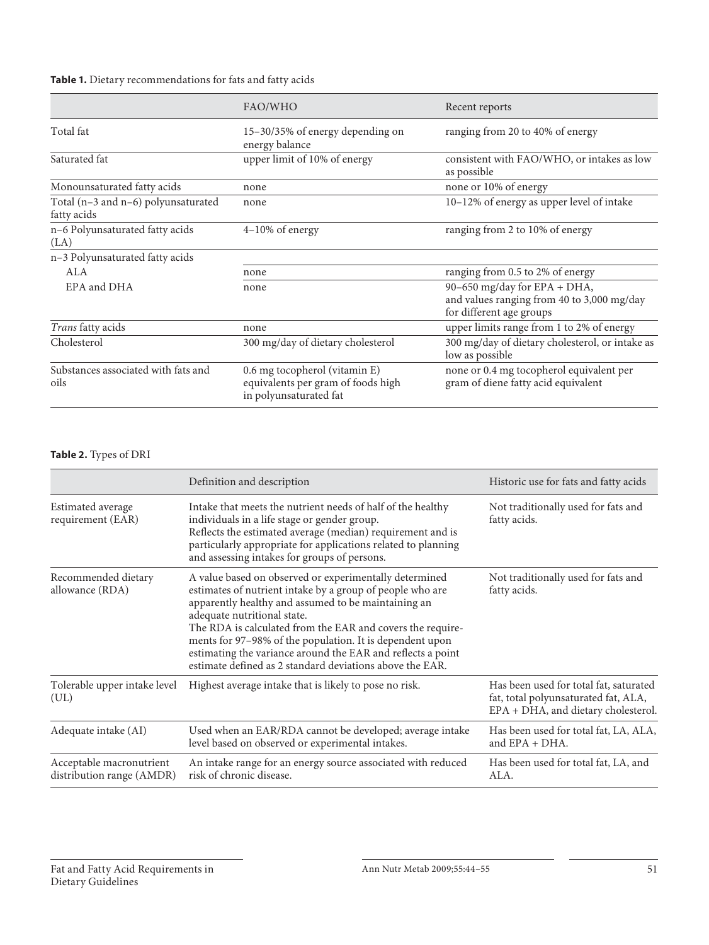#### **Table 1.** Dietary recommendations for fats and fatty acids

|                                                    | FAO/WHO                                                                                       | Recent reports                                                                                         |
|----------------------------------------------------|-----------------------------------------------------------------------------------------------|--------------------------------------------------------------------------------------------------------|
| Total fat                                          | 15-30/35% of energy depending on<br>energy balance                                            | ranging from 20 to 40% of energy                                                                       |
| Saturated fat                                      | upper limit of 10% of energy                                                                  | consistent with FAO/WHO, or intakes as low<br>as possible                                              |
| Monounsaturated fatty acids                        | none                                                                                          | none or 10% of energy                                                                                  |
| Total (n-3 and n-6) polyunsaturated<br>fatty acids | none                                                                                          | 10-12% of energy as upper level of intake                                                              |
| n-6 Polyunsaturated fatty acids<br>(LA)            | 4-10% of energy                                                                               | ranging from 2 to 10% of energy                                                                        |
| n-3 Polyunsaturated fatty acids                    |                                                                                               |                                                                                                        |
| <b>ALA</b>                                         | none                                                                                          | ranging from 0.5 to 2% of energy                                                                       |
| EPA and DHA                                        | none                                                                                          | 90-650 mg/day for EPA + DHA,<br>and values ranging from 40 to 3,000 mg/day<br>for different age groups |
| Trans fatty acids                                  | none                                                                                          | upper limits range from 1 to 2% of energy                                                              |
| Cholesterol                                        | 300 mg/day of dietary cholesterol                                                             | 300 mg/day of dietary cholesterol, or intake as<br>low as possible                                     |
| Substances associated with fats and<br>oils        | 0.6 mg tocopherol (vitamin E)<br>equivalents per gram of foods high<br>in polyunsaturated fat | none or 0.4 mg tocopherol equivalent per<br>gram of diene fatty acid equivalent                        |

# **Table 2.** Types of DRI

|                                                       | Definition and description                                                                                                                                                                                                                                                                                                                                                                                                                                     | Historic use for fats and fatty acids                                                                                 |
|-------------------------------------------------------|----------------------------------------------------------------------------------------------------------------------------------------------------------------------------------------------------------------------------------------------------------------------------------------------------------------------------------------------------------------------------------------------------------------------------------------------------------------|-----------------------------------------------------------------------------------------------------------------------|
| Estimated average<br>requirement (EAR)                | Intake that meets the nutrient needs of half of the healthy<br>individuals in a life stage or gender group.<br>Reflects the estimated average (median) requirement and is<br>particularly appropriate for applications related to planning<br>and assessing intakes for groups of persons.                                                                                                                                                                     | Not traditionally used for fats and<br>fatty acids.                                                                   |
| Recommended dietary<br>allowance (RDA)                | A value based on observed or experimentally determined<br>estimates of nutrient intake by a group of people who are<br>apparently healthy and assumed to be maintaining an<br>adequate nutritional state.<br>The RDA is calculated from the EAR and covers the require-<br>ments for 97-98% of the population. It is dependent upon<br>estimating the variance around the EAR and reflects a point<br>estimate defined as 2 standard deviations above the EAR. | Not traditionally used for fats and<br>fatty acids.                                                                   |
| Tolerable upper intake level<br>(UL)                  | Highest average intake that is likely to pose no risk.                                                                                                                                                                                                                                                                                                                                                                                                         | Has been used for total fat, saturated<br>fat, total polyunsaturated fat, ALA,<br>EPA + DHA, and dietary cholesterol. |
| Adequate intake (AI)                                  | Used when an EAR/RDA cannot be developed; average intake<br>level based on observed or experimental intakes.                                                                                                                                                                                                                                                                                                                                                   | Has been used for total fat, LA, ALA,<br>and $EPA + DHA$ .                                                            |
| Acceptable macronutrient<br>distribution range (AMDR) | An intake range for an energy source associated with reduced<br>risk of chronic disease.                                                                                                                                                                                                                                                                                                                                                                       | Has been used for total fat, LA, and<br>ALA.                                                                          |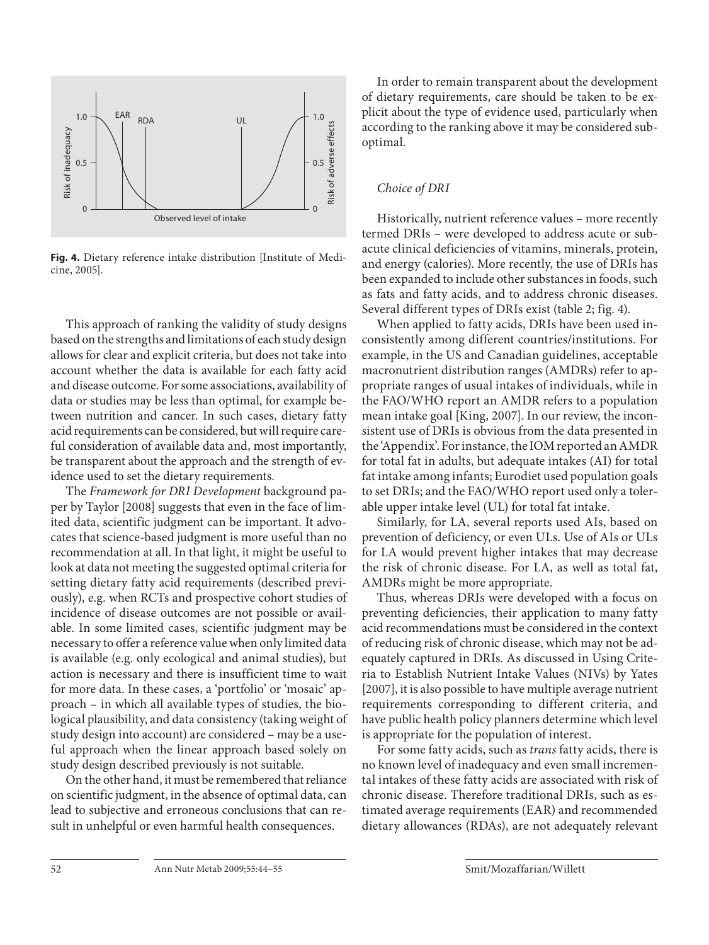

**Fig. 4.** Dietary reference intake distribution [Institute of Medicine, 2005].

 This approach of ranking the validity of study designs based on the strengths and limitations of each study design allows for clear and explicit criteria, but does not take into account whether the data is available for each fatty acid and disease outcome. For some associations, availability of data or studies may be less than optimal, for example between nutrition and cancer. In such cases, dietary fatty acid requirements can be considered, but will require careful consideration of available data and, most importantly, be transparent about the approach and the strength of evidence used to set the dietary requirements.

 The *Framework for DRI Development* background paper by Taylor [2008] suggests that even in the face of limited data, scientific judgment can be important. It advocates that science-based judgment is more useful than no recommendation at all. In that light, it might be useful to look at data not meeting the suggested optimal criteria for setting dietary fatty acid requirements (described previously), e.g. when RCTs and prospective cohort studies of incidence of disease outcomes are not possible or available. In some limited cases, scientific judgment may be necessary to offer a reference value when only limited data is available (e.g. only ecological and animal studies), but action is necessary and there is insufficient time to wait for more data. In these cases, a 'portfolio' or 'mosaic' approach – in which all available types of studies, the biological plausibility, and data consistency (taking weight of study design into account) are considered – may be a useful approach when the linear approach based solely on study design described previously is not suitable.

 On the other hand, it must be remembered that reliance on scientific judgment, in the absence of optimal data, can lead to subjective and erroneous conclusions that can result in unhelpful or even harmful health consequences.

 In order to remain transparent about the development of dietary requirements, care should be taken to be explicit about the type of evidence used, particularly when according to the ranking above it may be considered suboptimal.

#### *Choice of DRI*

 Historically, nutrient reference values – more recently termed DRIs – were developed to address acute or subacute clinical deficiencies of vitamins, minerals, protein, and energy (calories). More recently, the use of DRIs has been expanded to include other substances in foods, such as fats and fatty acids, and to address chronic diseases. Several different types of DRIs exist (table 2; fig. 4).

 When applied to fatty acids, DRIs have been used inconsistently among different countries/institutions. For example, in the US and Canadian guidelines, acceptable macronutrient distribution ranges (AMDRs) refer to appropriate ranges of usual intakes of individuals, while in the FAO/WHO report an AMDR refers to a population mean intake goal [King, 2007]. In our review, the inconsistent use of DRIs is obvious from the data presented in the 'Appendix'. For instance, the IOM reported an AMDR for total fat in adults, but adequate intakes (AI) for total fat intake among infants; Eurodiet used population goals to set DRIs; and the FAO/WHO report used only a tolerable upper intake level (UL) for total fat intake.

 Similarly, for LA, several reports used AIs, based on prevention of deficiency, or even ULs. Use of AIs or ULs for LA would prevent higher intakes that may decrease the risk of chronic disease. For LA, as well as total fat, AMDRs might be more appropriate.

 Thus, whereas DRIs were developed with a focus on preventing deficiencies, their application to many fatty acid recommendations must be considered in the context of reducing risk of chronic disease, which may not be adequately captured in DRIs. As discussed in Using Criteria to Establish Nutrient Intake Values (NIVs) by Yates [2007], it is also possible to have multiple average nutrient requirements corresponding to different criteria, and have public health policy planners determine which level is appropriate for the population of interest.

 For some fatty acids, such as *trans* fatty acids, there is no known level of inadequacy and even small incremental intakes of these fatty acids are associated with risk of chronic disease. Therefore traditional DRIs, such as estimated average requirements (EAR) and recommended dietary allowances (RDAs), are not adequately relevant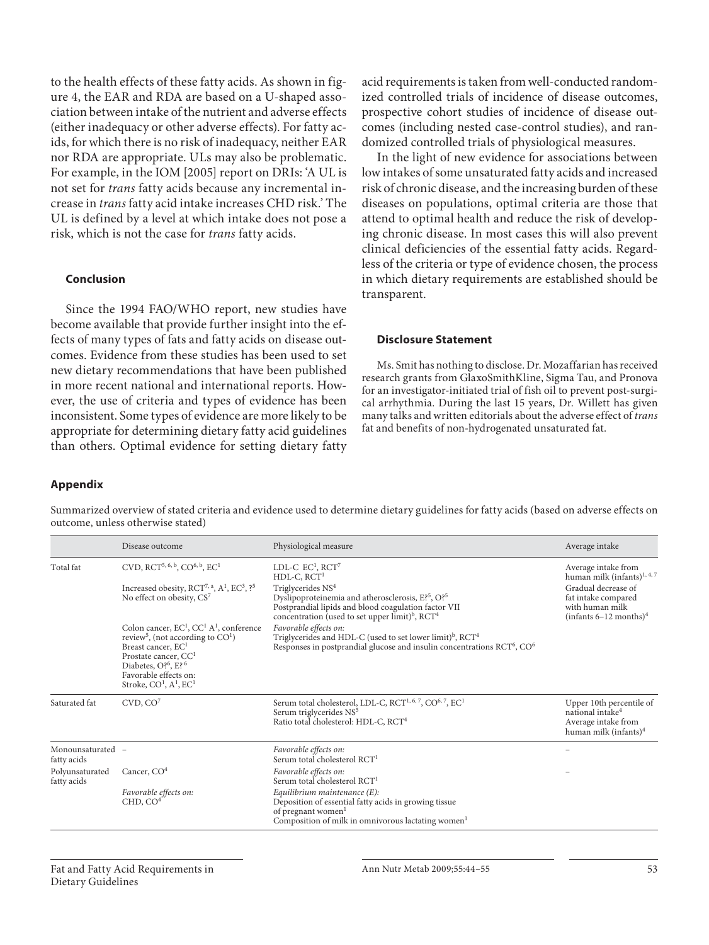to the health effects of these fatty acids. As shown in figure 4, the EAR and RDA are based on a U-shaped association between intake of the nutrient and adverse effects (either inadequacy or other adverse effects). For fatty acids, for which there is no risk of inadequacy, neither EAR nor RDA are appropriate. ULs may also be problematic. For example, in the IOM [2005] report on DRIs: 'A UL is not set for *trans* fatty acids because any incremental increase in *trans* fatty acid intake increases CHD risk.' The UL is defined by a level at which intake does not pose a risk, which is not the case for *trans* fatty acids.

#### **Conclusion**

Since the 1994 FAO/WHO report, new studies have become available that provide further insight into the effects of many types of fats and fatty acids on disease outcomes. Evidence from these studies has been used to set new dietary recommendations that have been published in more recent national and international reports. However, the use of criteria and types of evidence has been inconsistent. Some types of evidence are more likely to be appropriate for determining dietary fatty acid guidelines than others. Optimal evidence for setting dietary fatty acid requirements is taken from well-conducted randomized controlled trials of incidence of disease outcomes, prospective cohort studies of incidence of disease outcomes (including nested case-control studies), and randomized controlled trials of physiological measures.

In the light of new evidence for associations between low intakes of some unsaturated fatty acids and increased risk of chronic disease, and the increasing burden of these diseases on populations, optimal criteria are those that attend to optimal health and reduce the risk of developing chronic disease. In most cases this will also prevent clinical deficiencies of the essential fatty acids. Regardless of the criteria or type of evidence chosen, the process in which dietary requirements are established should be transparent.

#### **Disclosure Statement**

 Ms. Smit has nothing to disclose. Dr. Mozaffarian has received research grants from GlaxoSmithKline, Sigma Tau, and Pronova for an investigator-initiated trial of fish oil to prevent post-surgical arrhythmia. During the last 15 years, Dr. Willett has given many talks and written editorials about the adverse effect of *trans* fat and benefits of non-hydrogenated unsaturated fat.

#### **Appendix**

Summarized overview of stated criteria and evidence used to determine dietary guidelines for fatty acids (based on adverse effects on outcome, unless otherwise stated)

|                                | Disease outcome                                                                                                                                                                                                                                                                                                        | Physiological measure                                                                                                                                                                                                                                                                  | Average intake                                                                                                                                      |
|--------------------------------|------------------------------------------------------------------------------------------------------------------------------------------------------------------------------------------------------------------------------------------------------------------------------------------------------------------------|----------------------------------------------------------------------------------------------------------------------------------------------------------------------------------------------------------------------------------------------------------------------------------------|-----------------------------------------------------------------------------------------------------------------------------------------------------|
| Total fat                      | CVD, RCT <sup>5, 6, b</sup> , CO <sup>6, b</sup> , EC <sup>1</sup><br>Increased obesity, RCT <sup>7, a</sup> , A <sup>1</sup> , EC <sup>3</sup> , ? <sup>5</sup><br>No effect on obesity, CS <sup>7</sup>                                                                                                              | LDL-C $EC1$ , $RCT7$<br>$HDL-C, RCT1$<br>Triglycerides NS <sup>4</sup><br>Dyslipoproteinemia and atherosclerosis, E? <sup>5</sup> , O? <sup>5</sup><br>Postprandial lipids and blood coagulation factor VII<br>concentration (used to set upper limit) <sup>b</sup> , RCT <sup>4</sup> | Average intake from<br>human milk (infants) $1, 4, 7$<br>Gradual decrease of<br>fat intake compared<br>with human milk<br>$(infants 6–12 months)^4$ |
|                                | Colon cancer, $EC1$ , $CC1$ A <sup>1</sup> , conference<br>review <sup>5</sup> , (not according to $CO1$ )<br>Breast cancer, EC <sup>1</sup><br>Prostate cancer, CC <sup>1</sup><br>Diabetes, O? <sup>6</sup> , E? <sup>6</sup><br>Favorable effects on:<br>Stroke, CO <sup>1</sup> , A <sup>1</sup> , EC <sup>1</sup> | Favorable effects on:<br>Triglycerides and HDL-C (used to set lower limit) <sup>b</sup> , RCT <sup>4</sup><br>Responses in postprandial glucose and insulin concentrations RCT <sup>6</sup> , CO <sup>6</sup>                                                                          |                                                                                                                                                     |
| Saturated fat                  | $CVD$ , $CO7$                                                                                                                                                                                                                                                                                                          | Serum total cholesterol, LDL-C, RCT <sup>1, 6, 7</sup> , CO <sup>6, 7</sup> , EC <sup>1</sup><br>Serum triglycerides NS <sup>5</sup><br>Ratio total cholesterol: HDL-C, RCT <sup>4</sup>                                                                                               | Upper 10th percentile of<br>national intake <sup>4</sup><br>Average intake from<br>human milk (infants) <sup>4</sup>                                |
| Monounsaturated<br>fatty acids | $\overline{\phantom{m}}$                                                                                                                                                                                                                                                                                               | Favorable effects on:<br>Serum total cholesterol RCT <sup>1</sup>                                                                                                                                                                                                                      |                                                                                                                                                     |
| Polyunsaturated<br>fatty acids | Cancer, $CO4$<br>Favorable effects on:<br>CHD, CO <sup>4</sup>                                                                                                                                                                                                                                                         | Favorable effects on:<br>Serum total cholesterol RCT <sup>1</sup><br>Equilibrium maintenance (E):<br>Deposition of essential fatty acids in growing tissue<br>of pregnant women <sup>1</sup><br>Composition of milk in omnivorous lactating women <sup>1</sup>                         |                                                                                                                                                     |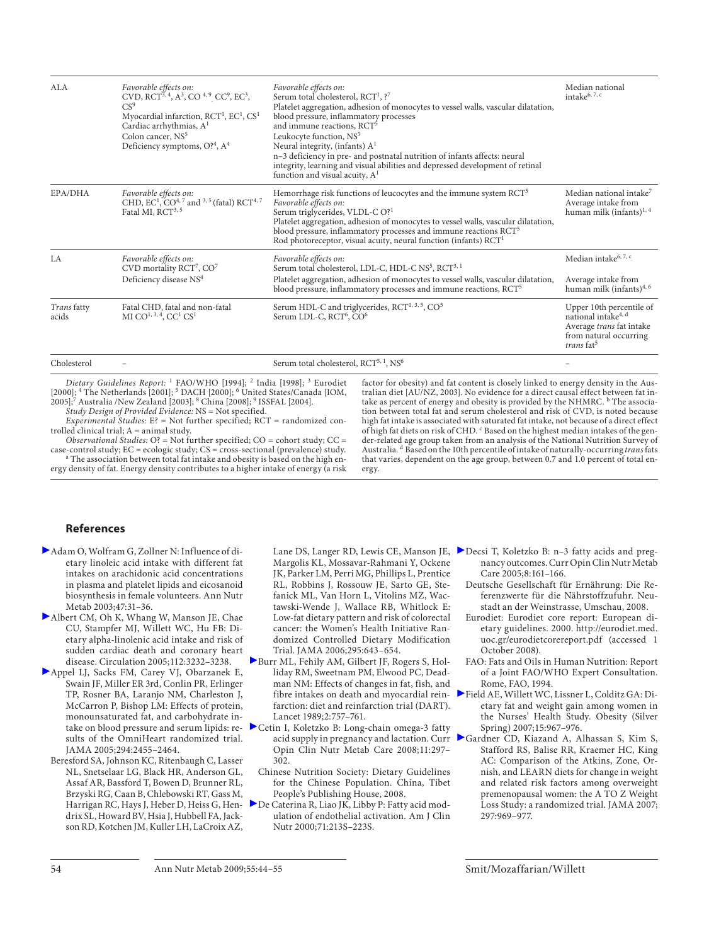|                      | Dietary Guidelines Report: $\frac{1}{2}$ FAO/WHO [1994]: $\frac{2}{2}$ India [1998]: $\frac{3}{2}$ Eurodiet                                                                                                                                                                                                          | factor for obesity) and fat content is closely linked to energy density in the Aus-                                                                                                                                                                                                                                                                                                                                                                                                                                                       |                                                                                                                                                    |
|----------------------|----------------------------------------------------------------------------------------------------------------------------------------------------------------------------------------------------------------------------------------------------------------------------------------------------------------------|-------------------------------------------------------------------------------------------------------------------------------------------------------------------------------------------------------------------------------------------------------------------------------------------------------------------------------------------------------------------------------------------------------------------------------------------------------------------------------------------------------------------------------------------|----------------------------------------------------------------------------------------------------------------------------------------------------|
| Cholesterol          |                                                                                                                                                                                                                                                                                                                      | Serum total cholesterol, RCT <sup>5, 1</sup> , NS <sup>6</sup>                                                                                                                                                                                                                                                                                                                                                                                                                                                                            |                                                                                                                                                    |
| Trans fatty<br>acids | Fatal CHD, fatal and non-fatal<br>MI $CO^{1,3,4}$ , $CC^{1}$ $CS^{1}$                                                                                                                                                                                                                                                | Serum HDL-C and triglycerides, RCT <sup>1, 3, 5</sup> , CO <sup>5</sup><br>Serum LDL-C, RCT <sup>6</sup> , CO <sup>6</sup>                                                                                                                                                                                                                                                                                                                                                                                                                | Upper 10th percentile of<br>national intake <sup>4, d</sup><br>Average trans fat intake<br>from natural occurring<br><i>trans</i> fat <sup>5</sup> |
| LA                   | Favorable effects on:<br>CVD mortality RCT <sup>7</sup> , CO <sup>7</sup><br>Deficiency disease NS <sup>4</sup>                                                                                                                                                                                                      | Favorable effects on:<br>Serum total cholesterol, LDL-C, HDL-C NS <sup>5</sup> , RCT <sup>3, 1</sup><br>Platelet aggregation, adhesion of monocytes to vessel walls, vascular dilatation,<br>blood pressure, inflammatory processes and immune reactions, RCT <sup>5</sup>                                                                                                                                                                                                                                                                | Median intake $6, 7, c$<br>Average intake from<br>human milk (infants) $4,6$                                                                       |
| EPA/DHA              | Favorable effects on:<br>CHD, EC <sup>1</sup> , CO <sup>4, 7</sup> and <sup>3, 5</sup> (fatal) RCT <sup>4, 7</sup><br>Fatal MI, RCT <sup>3, 5</sup>                                                                                                                                                                  | Hemorrhage risk functions of leucocytes and the immune system RCT <sup>5</sup><br>Favorable effects on:<br>Serum triglycerides, VLDL-C O? <sup>1</sup><br>Platelet aggregation, adhesion of monocytes to vessel walls, vascular dilatation,<br>blood pressure, inflammatory processes and immune reactions RCT <sup>5</sup><br>Rod photoreceptor, visual acuity, neural function (infants) RCT <sup>1</sup>                                                                                                                               | Median national intake <sup>7</sup><br>Average intake from<br>human milk (infants) $^{1,4}$                                                        |
| <b>ALA</b>           | Favorable effects on:<br>CVD, RCT <sup>3, 4</sup> , A <sup>3</sup> , CO <sup>4, 9</sup> , CC <sup>9</sup> , EC <sup>3</sup> ,<br>$CS^9$<br>Myocardial infarction, RCT <sup>1</sup> , EC <sup>1</sup> , CS <sup>1</sup><br>Cardiac arrhythmias, $A1$<br>Colon cancer, NS <sup>5</sup><br>Deficiency symptoms, O?4, A4 | Favorable effects on:<br>Serum total cholesterol, RCT <sup>1</sup> , ? <sup>7</sup><br>Platelet aggregation, adhesion of monocytes to vessel walls, vascular dilatation,<br>blood pressure, inflammatory processes<br>and immune reactions, RCT <sup>5</sup><br>Leukocyte function, NS <sup>5</sup><br>Neural integrity, (infants) $A1$<br>n-3 deficiency in pre- and postnatal nutrition of infants affects: neural<br>integrity, learning and visual abilities and depressed development of retinal<br>function and visual acuity, $A1$ | Median national<br>intake <sup>6, 7, c</sup>                                                                                                       |

Dietary Guidelines Report: <sup>1</sup> FAO/WHO [1994]; <sup>2</sup> India [1998]; <sup>3</sup> Eurodiet [2000]; <sup>4</sup> The Netherlands [2001]; <sup>5</sup> DACH [2000]; <sup>6</sup> United States/Canada [IOM, 2005];<sup>7</sup> Australia /New Zealand [2003]; <sup>8</sup> China [2008];

*Study Design of Provided Evidence:* NS = Not specified. *Experimental Studies:* E? = Not further specified; RCT = randomized controlled clinical trial;  $A =$  animal study.

*Observational Studies:* O? = Not further specified; CO = cohort study; CC = case-control study;  $EC = ecologic study$ ;  $CS = cross-sectional (prevalence) study$ .

<sup>a</sup> The association between total fat intake and obesity is based on the high energy density of fat. Energy density contributes to a higher intake of energy (a risk

factor for obesity) and fat content is closely linked to energy density in the Australian diet [AU/NZ, 2003]. No evidence for a direct causal effect between fat in-<br>take as percent of energy and obesity is provided by the NHMRC. <sup>b</sup> The association between total fat and serum cholesterol and risk of CVD, is noted because high fat intake is associated with saturated fat intake, not because of a direct effect of high fat diets on risk of CHD. <sup>c</sup> Based on the highest median intakes of the gender-related age group taken from an analysis of the National Nutrition Survey of Australia. d Based on the 10th percentile of intake of naturally-occurring *trans* fats that varies, dependent on the age group, between 0.7 and 1.0 percent of total energy.

#### **References**

- Adam O, Wolfram G, Zollner N: Influence of dietary linoleic acid intake with different fat intakes on arachidonic acid concentrations in plasma and platelet lipids and eicosanoid biosynthesis in female volunteers. Ann Nutr Metab 2003;47:31–36.
- Albert CM, Oh K, Whang W, Manson JE, Chae CU, Stampfer MJ, Willett WC, Hu FB: Dietary alpha-linolenic acid intake and risk of sudden cardiac death and coronary heart disease. Circulation 2005;112:3232–3238.
- Appel LJ, Sacks FM, Carey VJ, Obarzanek E, Swain JF, Miller ER 3rd, Conlin PR, Erlinger TP, Rosner BA, Laranjo NM, Charleston J, McCarron P, Bishop LM: Effects of protein, monounsaturated fat, and carbohydrate intake on blood pressure and serum lipids: results of the OmniHeart randomized trial. JAMA 2005;294:2455–2464.
- Beresford SA, Johnson KC, Ritenbaugh C, Lasser NL, Snetselaar LG, Black HR, Anderson GL, Assaf AR, Bassford T, Bowen D, Brunner RL, Brzyski RG, Caan B, Chlebowski RT, Gass M, Harrigan RC, Hays J, Heber D, Heiss G, Hendrix SL, Howard BV, Hsia J, Hubbell FA, Jackson RD, Kotchen JM, Kuller LH, LaCroix AZ,

Margolis KL, Mossavar-Rahmani Y, Ockene JK, Parker LM, Perri MG, Phillips L, Prentice RL, Robbins J, Rossouw JE, Sarto GE, Stefanick ML, Van Horn L, Vitolins MZ, Wactawski-Wende J, Wallace RB, Whitlock E: Low-fat dietary pattern and risk of colorectal cancer: the Women's Health Initiative Randomized Controlled Dietary Modification Trial. JAMA 2006;295:643–654.

- Burr ML, Fehily AM, Gilbert JF, Rogers S, Holliday RM, Sweetnam PM, Elwood PC, Deadman NM: Effects of changes in fat, fish, and fibre intakes on death and myocardial reinfarction: diet and reinfarction trial (DART). Lancet 1989;2:757–761.
- Cetin I, Koletzko B: Long-chain omega-3 fatty Opin Clin Nutr Metab Care 2008;11:297– 302.
	- Chinese Nutrition Society: Dietary Guidelines for the Chinese Population. China, Tibet People's Publishing House, 2008.
- De Caterina R, Liao JK, Libby P: Fatty acid modulation of endothelial activation. Am J Clin Nutr 2000;71:213S–223S.
- Lane DS, Langer RD, Lewis CE, Manson JE, Decsi T, Koletzko B: n–3 fatty acids and pregnancy outcomes. Curr Opin Clin Nutr Metab Care 2005;8:161–166.
	- Deutsche Gesellschaft für Ernährung: Die Referenzwerte für die Nährstoffzufuhr. Neustadt an der Weinstrasse, Umschau, 2008.
	- Eurodiet: Eurodiet core report: European dietary guidelines. 2000. http://eurodiet.med. uoc.gr/eurodietcorereport.pdf (accessed 1 October 2008).
	- FAO: Fats and Oils in Human Nutrition: Report of a Joint FAO/WHO Expert Consultation. Rome, FAO, 1994.
	- Field AE, Willett WC, Lissner L, Colditz GA: Dietary fat and weight gain among women in the Nurses' Health Study. Obesity (Silver Spring) 2007;15:967–976.
- acid supply in pregnancy and lactation. Curr Gardner CD, Kiazand A, Alhassan S, Kim S, Stafford RS, Balise RR, Kraemer HC, King AC: Comparison of the Atkins, Zone, Ornish, and LEARN diets for change in weight and related risk factors among overweight premenopausal women: the A TO Z Weight Loss Study: a randomized trial. JAMA 2007; 297:969–977.